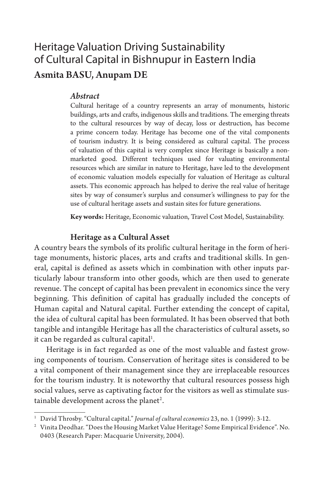# Heritage Valuation Driving Sustainability of Cultural Capital in Bishnupur in Eastern India Asmita BASU, Anupam DE

### *Abstract*

Cultural heritage of a country represents an array of monuments, historic buildings, arts and crafts, indigenous skills and traditions. The emerging threats to the cultural resources by way of decay, loss or destruction, has become a prime concern today. Heritage has become one of the vital components of tourism industry. It is being considered as cultural capital. The process of valuation of this capital is very complex since Heritage is basically a nonmarketed good. Different techniques used for valuating environmental resources which are similar in nature to Heritage, have led to the development of economic valuation models especially for valuation of Heritage as cultural assets. This economic approach has helped to derive the real value of heritage sites by way of consumer's surplus and consumer's willingness to pay for the use of cultural heritage assets and sustain sites for future generations.

**Key words:** Heritage, Economic valuation, Travel Cost Model, Sustainability.

#### Heritage as a Cultural Asset

A country bears the symbols of its prolific cultural heritage in the form of heritage monuments, historic places, arts and crafts and traditional skills. In general, capital is defined as assets which in combination with other inputs particularly labour transform into other goods, which are then used to generate revenue. The concept of capital has been prevalent in economics since the very beginning. This definition of capital has gradually included the concepts of Human capital and Natural capital. Further extending the concept of capital, the idea of cultural capital has been formulated. It has been observed that both tangible and intangible Heritage has all the characteristics of cultural assets, so it can be regarded as cultural capital $^{\rm l}$ .

Heritage is in fact regarded as one of the most valuable and fastest growing components of tourism. Conservation of heritage sites is considered to be a vital component of their management since they are irreplaceable resources for the tourism industry. It is noteworthy that cultural resources possess high social values, serve as captivating factor for the visitors as well as stimulate sustainable development across the planet $^2\!$ .

<sup>1</sup> David Throsby. "Cultural capital." *Journal of cultural economics* 23, no. 1 (1999): 3-12.

<sup>&</sup>lt;sup>2</sup> Vinita Deodhar. "Does the Housing Market Value Heritage? Some Empirical Evidence". No. 0403 (Research Paper: Macquarie University, 2004).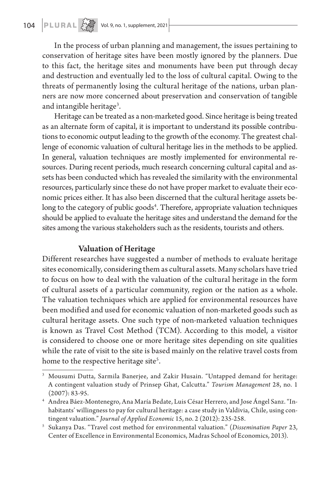In the process of urban planning and management, the issues pertaining to conservation of heritage sites have been mostly ignored by the planners. Due to this fact, the heritage sites and monuments have been put through decay and destruction and eventually led to the loss of cultural capital. Owing to the threats of permanently losing the cultural heritage of the nations, urban planners are now more concerned about preservation and conservation of tangible and intangible heritage<sup>3</sup>.

Heritage can be treated as a non-marketed good. Since heritage is being treated as an alternate form of capital, it is important to understand its possible contributions to economic output leading to the growth of the economy. The greatest challenge of economic valuation of cultural heritage lies in the methods to be applied. In general, valuation techniques are mostly implemented for environmental resources. During recent periods, much research concerning cultural capital and assets has been conducted which has revealed the similarity with the environmental resources, particularly since these do not have proper market to evaluate their economic prices either. It has also been discerned that the cultural heritage assets belong to the category of public goods<sup>4</sup>. Therefore, appropriate valuation techniques should be applied to evaluate the heritage sites and understand the demand for the sites among the various stakeholders such as the residents, tourists and others.

### Valuation of Heritage

Different researches have suggested a number of methods to evaluate heritage sites economically, considering them as cultural assets. Many scholars have tried to focus on how to deal with the valuation of the cultural heritage in the form of cultural assets of a particular community, region or the nation as a whole. The valuation techniques which are applied for environmental resources have been modified and used for economic valuation of non-marketed goods such as cultural heritage assets. One such type of non-marketed valuation techniques is known as Travel Cost Method (TCM). According to this model, a visitor is considered to choose one or more heritage sites depending on site qualities while the rate of visit to the site is based mainly on the relative travel costs from home to the respective heritage site<sup>5</sup>.

<sup>3</sup> Mousumi Dutta, Sarmila Banerjee, and Zakir Husain. "Untapped demand for heritage: A contingent valuation study of Prinsep Ghat, Calcutta." *Tourism Management* 28, no. 1  $(2007): 83-95.$ 

<sup>4</sup> Andrea Báez-Montenegro, Ana María Bedate, Luis César Herrero, and Jose Ángel Sanz. "Inhabitants' willingness to pay for cultural heritage: a case study in Valdivia, Chile, using contingent valuation." *Journal of Applied Economic* 15, no. 2 (2012): 235-258.

<sup>5</sup> Sukanya Das. "Travel cost method for environmental valuation." (*Dissemination Paper* 23, Center of Excellence in Environmental Economics, Madras School of Economics, 2013).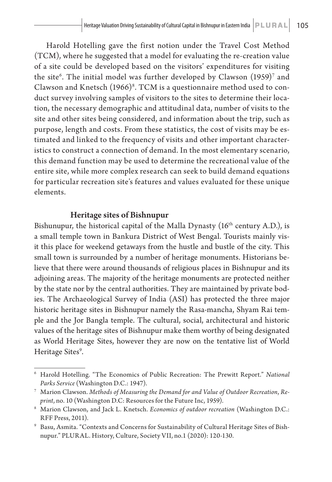Harold Hotelling gave the first notion under the Travel Cost Method (TCM), where he suggested that a model for evaluating the re-creation value of a site could be developed based on the visitors' expenditures for visiting the site $^6$ . The initial model was further developed by Clawson  $(1959)^7$  and Clawson and Knetsch  $(1966)^8$ . TCM is a questionnaire method used to conduct survey involving samples of visitors to the sites to determine their location, the necessary demographic and attitudinal data, number of visits to the site and other sites being considered, and information about the trip, such as purpose, length and costs. From these statistics, the cost of visits may be estimated and linked to the frequency of visits and other important characteristics to construct a connection of demand. In the most elementary scenario, this demand function may be used to determine the recreational value of the entire site, while more complex research can seek to build demand equations for particular recreation site's features and values evaluated for these unique elements.

### Heritage sites of Bishnupur

Bishunupur, the historical capital of the Malla Dynasty (16<sup>th</sup> century A.D.), is a small temple town in Bankura District of West Bengal. Tourists mainly visit this place for weekend getaways from the hustle and bustle of the city. This small town is surrounded by a number of heritage monuments. Historians believe that there were around thousands of religious places in Bishnupur and its adjoining areas. The majority of the heritage monuments are protected neither by the state nor by the central authorities. They are maintained by private bodies. The Archaeological Survey of India (ASI) has protected the three major historic heritage sites in Bishnupur namely the Rasa-mancha, Shyam Rai temple and the Jor Bangla temple. The cultural, social, architectural and historic values of the heritage sites of Bishnupur make them worthy of being designated as World Heritage Sites, however they are now on the tentative list of World Heritage Sites<sup>9</sup>.

<sup>6</sup> Harold Hotelling. "The Economics of Public Recreation: The Prewitt Report." *National Parks Service* (Washington D.C.: 1947).

<sup>7</sup> Marion Clawson. *Methods of Measuring the Demand for and Value of Outdoor Recreation*, *Reprint*, no. 10 (Washington D.C: Resources for the Future Inc, 1959).

<sup>8</sup> Marion Clawson, and Jack L. Knetsch. *Economics of outdoor recreation* (Washington D.C.: RFF Press, 2011).

<sup>9</sup> Basu, Asmita. "Contexts and Concerns for Sustainability of Cultural Heritage Sites of Bishnupur." PLUR AL. History, Culture, Society VII, no.1 (2020): 120-130.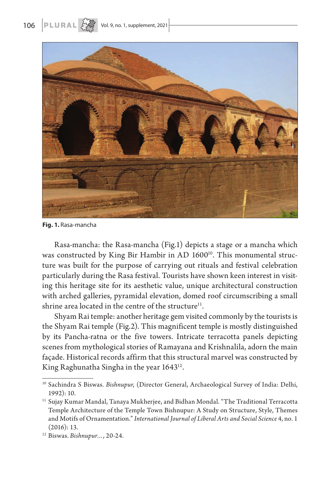



**Fig. 1.** Rasa-mancha

Rasa-mancha: the Rasa-mancha (Fig.1) depicts a stage or a mancha which was constructed by King Bir Hambir in AD 1600<sup>10</sup>. This monumental structure was built for the purpose of carrying out rituals and festival celebration particularly during the Rasa festival. Tourists have shown keen interest in visiting this heritage site for its aesthetic value, unique architectural construction with arched galleries, pyramidal elevation, domed roof circumscribing a small shrine area located in the centre of the structure $11$ .

Shyam Rai temple: another heritage gem visited commonly by the tourists is the Shyam Rai temple (Fig.2). This magnificent temple is mostly distinguished by its Pancha-ratna or the five towers. Intricate terracotta panels depicting scenes from mythological stories of Ramayana and Krishnalila, adorn the main façade. Historical records affirm that this structural marvel was constructed by King Raghunatha Singha in the year 1643<sup>12</sup>.

<sup>10</sup> Sachindra S Biswas. *Bishnupur*, (Director General, Archaeological Survey of India: Delhi, 1992): 10.

<sup>&</sup>lt;sup>11</sup> Sujay Kumar Mandal, Tanaya Mukherjee, and Bidhan Mondal. "The Traditional Terracotta Temple Architecture of the Temple Town Bishnupur: A Study on Structure, Style, Themes and Motifs of Ornamentation." *International Journal of Liberal Arts and Social Science* 4, no. 1 (2016): 13.

<sup>12</sup> Biswas. *Bishnupur…,* 20-24.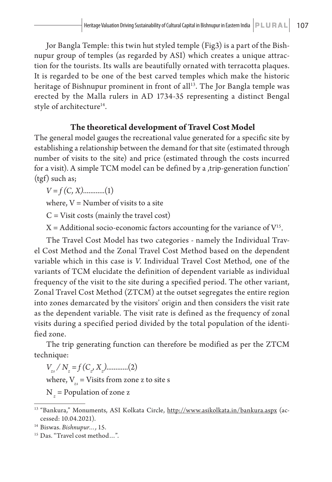Jor Bangla Temple: this twin hut styled temple (Fig3) is a part of the Bishnupur group of temples (as regarded by ASI) which creates a unique attraction for the tourists. Its walls are beautifully ornated with terracotta plaques. It is regarded to be one of the best carved temples which make the historic heritage of Bishnupur prominent in front of all<sup>13</sup>. The Jor Bangla temple was erected by the Malla rulers in AD 1734-35 representing a distinct Bengal style of architecture<sup>14</sup>.

## **The theoretical development of Travel Cost Model**

The general model gauges the recreational value generated for a specific site by establishing a relationship between the demand for that site (estimated through number of visits to the site) and price (estimated through the costs incurred for a visit). A simple  $TCM$  model can be defined by a  $trip$ -generation function' (tgf) such as;

*V = f (C, X)*............(1)

where,  $V =$  Number of visits to a site

 $C = V$ isit costs (mainly the travel cost)

 $X =$  Additional socio-economic factors accounting for the variance of  $V<sup>15</sup>$ .

The Travel Cost Model has two categories - namely the Individual Travel Cost Method and the Zonal Travel Cost Method based on the dependent variable which in this case is *V*. Individual Travel Cost Method, one of the variants of TCM elucidate the definition of dependent variable as individual frequency of the visit to the site during a specified period. The other variant, Zonal Travel Cost Method (ZTCM) at the outset segregates the entire region into zones demarcated by the visitors' origin and then considers the visit rate as the dependent variable. The visit rate is defined as the frequency of zonal visits during a specified period divided by the total population of the identified zone.

The trip generating function can therefore be modified as per the ZTCM technique:

*Vzs / Nz = f (Cz , Xz )*............(2) where,  $V_{z}$  = Visits from zone z to site s N *z* = Population of zone z

<sup>&</sup>lt;sup>13</sup> "Bankura," Monuments, ASI Kolkata Circle, http://www.asikolkata.in/bankura.aspx (accessed: 10.04.2021).

<sup>14</sup> Biswas. *Bishnupur…,* 15.

<sup>15</sup> Das. "Travel cost method…".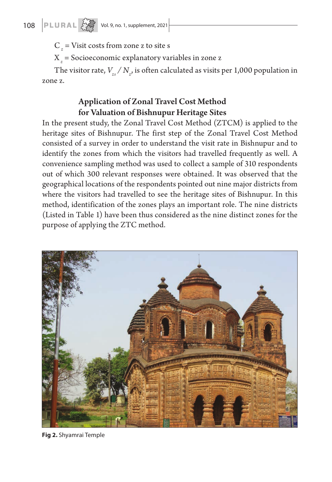C *z* = Visit costs from zone z to site s

X *z* = Socioeconomic explanatory variables in zone z

The visitor rate,  $V_{_{\!z\!s}}/\,N_{_{\!z\!j}}$  is often calculated as visits per 1,000 population in zone z.

# Application of Zonal Travel Cost Method for Valuation of Bishnupur Heritage Sites

In the present study, the Zonal Travel Cost Method (ZTCM) is applied to the heritage sites of Bishnupur. The first step of the Zonal Travel Cost Method consisted of a survey in order to understand the visit rate in Bishnupur and to identify the zones from which the visitors had travelled frequently as well. A convenience sampling method was used to collect a sample of 310 respondents out of which 300 relevant responses were obtained. It was observed that the geographical locations of the respondents pointed out nine major districts from where the visitors had travelled to see the heritage sites of Bishnupur. In this method, identification of the zones plays an important role. The nine districts (Listed in Table 1) have been thus considered as the nine distinct zones for the purpose of applying the ZTC method.



**Fig 2.** Shyamrai Temple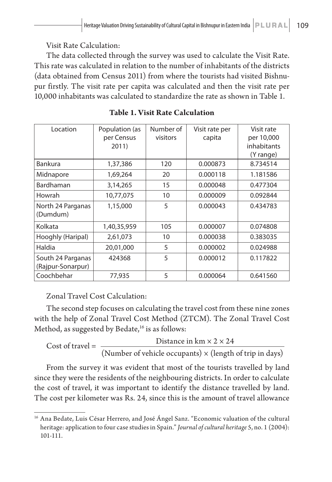Visit Rate Calculation:

The data collected through the survey was used to calculate the Visit Rate. This rate was calculated in relation to the number of inhabitants of the districts (data obtained from Census 2011) from where the tourists had visited Bishnupur firstly. The visit rate per capita was calculated and then the visit rate per 10,000 inhabitants was calculated to standardize the rate as shown in Table 1.

| Location                               | Population (as<br>per Census<br>2011) | Number of<br>visitors | Visit rate per<br>capita | Visit rate<br>per 10,000<br>inhabitants<br>(Y range) |
|----------------------------------------|---------------------------------------|-----------------------|--------------------------|------------------------------------------------------|
| <b>Bankura</b>                         | 1,37,386                              | 120                   | 0.000873                 | 8.734514                                             |
| Midnapore                              | 1,69,264                              | 20                    | 0.000118                 | 1.181586                                             |
| Bardhaman                              | 3,14,265                              | 15                    | 0.000048                 | 0.477304                                             |
| Howrah                                 | 10,77,075                             | 10                    | 0.000009                 | 0.092844                                             |
| North 24 Parganas<br>(Dumdum)          | 1,15,000                              | 5                     | 0.000043                 | 0.434783                                             |
| Kolkata                                | 1,40,35,959                           | 105                   | 0.000007                 | 0.074808                                             |
| Hooghly (Haripal)                      | 2,61,073                              | 10                    | 0.000038                 | 0.383035                                             |
| Haldia                                 | 20,01,000                             | 5                     | 0.000002                 | 0.024988                                             |
| South 24 Parganas<br>(Rajpur-Sonarpur) | 424368                                | 5                     | 0.000012                 | 0.117822                                             |
| Coochbehar                             | 77,935                                | 5                     | 0.000064                 | 0.641560                                             |

**Table 1. Visit Rate Calculation**

Zonal Travel Cost Calculation:

The second step focuses on calculating the travel cost from these nine zones with the help of Zonal Travel Cost Method (ZTCM). The Zonal Travel Cost Method, as suggested by Bedate,<sup>16</sup> is as follows:

Cost of travel =  $\frac{\text{Distance in km} \times 2 \times 24}{\text{Distance in km} \times 2 \times 24}$ (Number of vehicle occupants)  $\times$  (length of trip in days)

From the survey it was evident that most of the tourists travelled by land since they were the residents of the neighbouring districts. In order to calculate the cost of travel, it was important to identify the distance travelled by land. The cost per kilometer was Rs. 24, since this is the amount of travel allowance

<sup>&</sup>lt;sup>16</sup> Ana Bedate, Luis César Herrero, and José Ángel Sanz. "Economic valuation of the cultural heritage: application to four case studies in Spain." *Journal of cultural heritage* 5, no. 1 (2004): 101-111.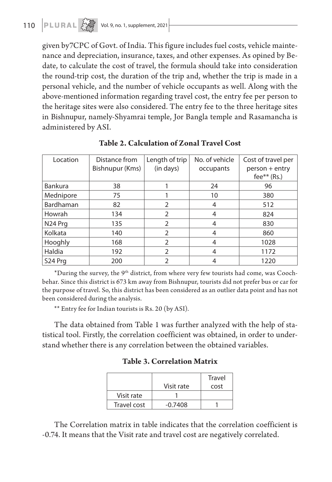given by7CPC of Govt. of India. This figure includes fuel costs, vehicle maintenance and depreciation, insurance, taxes, and other expenses. As opined by Bedate, to calculate the cost of travel, the formula should take into consideration the round-trip cost, the duration of the trip and, whether the trip is made in a personal vehicle, and the number of vehicle occupants as well. Along with the above-mentioned information regarding travel cost, the entry fee per person to the heritage sites were also considered. The entry fee to the three heritage sites in Bishnupur, namely-Shyamrai temple, Jor Bangla temple and Rasamancha is administered by ASI.

| Location            | Distance from<br>Bishnupur (Kms) | Length of trip<br>(in days) | No. of vehicle<br>occupants | Cost of travel per<br>person + entry<br>fee** $(Rs.)$ |
|---------------------|----------------------------------|-----------------------------|-----------------------------|-------------------------------------------------------|
| <b>Bankura</b>      | 38                               |                             | 24                          | 96                                                    |
|                     |                                  |                             |                             |                                                       |
| Mednipore           | 75                               |                             | 10                          | 380                                                   |
| Bardhaman           | 82                               | $\mathfrak{D}$              | 4                           | 512                                                   |
| Howrah              | 134                              | $\overline{2}$              | 4                           | 824                                                   |
| N <sub>24</sub> Prq | 135                              | $\overline{2}$              | 4                           | 830                                                   |
| Kolkata             | 140                              | 2                           | 4                           | 860                                                   |
| Hooghly             | 168                              | $\mathcal{P}$               | 4                           | 1028                                                  |
| Haldia              | 192                              | $\mathfrak{D}$              | 4                           | 1172                                                  |
| S <sub>24</sub> Prg | 200                              | $\mathcal{P}$               |                             | 1220                                                  |

**Table 2. Calculation of Zonal Travel Cost**

 $*$ During the survey, the 9<sup>th</sup> district, from where very few tourists had come, was Coochbehar. Since this district is 673 km away from Bishnupur, tourists did not prefer bus or car for the purpose of travel. So, this district has been considered as an outlier data point and has not been considered during the analysis.

\*\* Entry fee for Indian tourists is Rs. 20 (by ASI).

The data obtained from Table 1 was further analyzed with the help of statistical tool. Firstly, the correlation coefficient was obtained, in order to understand whether there is any correlation between the obtained variables.

| <b>Table 3. Correlation Matrix</b> |  |  |  |
|------------------------------------|--|--|--|
|------------------------------------|--|--|--|

|             |            | Travel |
|-------------|------------|--------|
|             | Visit rate | cost   |
| Visit rate  |            |        |
| Travel cost | $-0.7408$  |        |

The Correlation matrix in table indicates that the correlation coefficient is -0.74. It means that the Visit rate and travel cost are negatively correlated.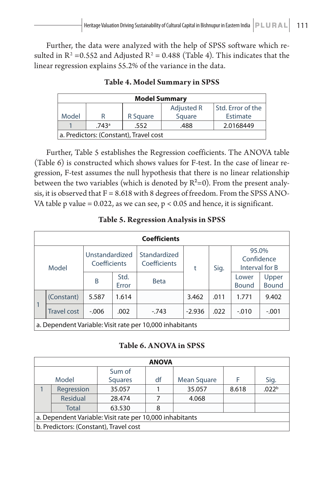Further, the data were analyzed with the help of SPSS software which resulted in  $R^2$  =0.552 and Adjusted  $R^2$  = 0.488 (Table 4). This indicates that the linear regression explains 55.2% of the variance in the data.

| <b>Model Summary</b>                   |   |          |            |                   |  |  |
|----------------------------------------|---|----------|------------|-------------------|--|--|
|                                        |   |          | Adjusted R | Std. Error of the |  |  |
| Model                                  | R | R Square | Square     | Estimate          |  |  |
| 2.0168449<br>.743a<br>.488<br>.552     |   |          |            |                   |  |  |
| a. Predictors: (Constant), Travel cost |   |          |            |                   |  |  |

**Table 4. Model Summary in SPSS**

Further, Table 5 establishes the Regression coefficients. The ANOVA table (Table 6) is constructed which shows values for F-test. In the case of linear regression, F-test assumes the null hypothesis that there is no linear relationship between the two variables (which is denoted by  $R^2=0$ ). From the present analysis, it is observed that  $F = 8.618$  with 8 degrees of freedom. From the SPSS ANO-VA table p value =  $0.022$ , as we can see,  $p < 0.05$  and hence, it is significant.

### **Table 5. Regression Analysis in SPSS**

| <b>Coefficients</b>                                      |                    |                                |               |                              |          |      |                                       |                       |
|----------------------------------------------------------|--------------------|--------------------------------|---------------|------------------------------|----------|------|---------------------------------------|-----------------------|
| Model                                                    |                    | Unstandardized<br>Coefficients |               | Standardized<br>Coefficients | t        | Sig. | 95.0%<br>Confidence<br>Interval for B |                       |
|                                                          |                    | B                              | Std.<br>Error | <b>Beta</b>                  |          |      | Lower<br><b>Bound</b>                 | Upper<br><b>Bound</b> |
|                                                          | (Constant)         | 5.587                          | 1.614         |                              | 3.462    | .011 | 1.771                                 | 9.402                 |
| $\mathbf{1}$                                             | <b>Travel cost</b> | $-0.006$                       | .002          | $-743$                       | $-2.936$ | .022 | $-.010$                               | $-.001$               |
| a. Dependent Variable: Visit rate per 10,000 inhabitants |                    |                                |               |                              |          |      |                                       |                       |

**Table 6. ANOVA in SPSS**

| <b>ANOVA</b>                                             |              |                |    |             |       |                   |  |  |
|----------------------------------------------------------|--------------|----------------|----|-------------|-------|-------------------|--|--|
|                                                          |              | Sum of         |    |             |       |                   |  |  |
|                                                          | Model        | <b>Squares</b> | df | Mean Square |       | Sig.              |  |  |
|                                                          | Regression   | 35.057         |    | 35.057      | 8.618 | .022 <sup>b</sup> |  |  |
|                                                          | Residual     | 28.474         |    | 4.068       |       |                   |  |  |
|                                                          | <b>Total</b> | 63.530         | 8  |             |       |                   |  |  |
| a. Dependent Variable: Visit rate per 10,000 inhabitants |              |                |    |             |       |                   |  |  |
| b. Predictors: (Constant), Travel cost                   |              |                |    |             |       |                   |  |  |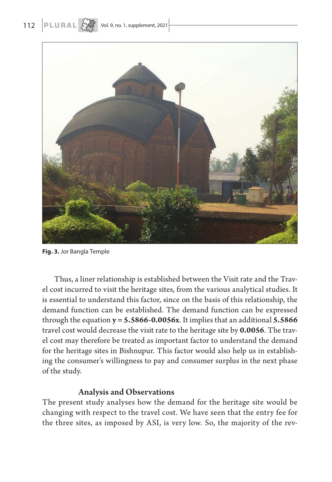

**Fig. 3.** Jor Bangla Temple

Thus, a liner relationship is established between the Visit rate and the Travel cost incurred to visit the heritage sites, from the various analytical studies. It is essential to understand this factor, since on the basis of this relationship, the demand function can be established. The demand function can be expressed through the equation **y = 5.5866-0.0056x**. It implies that an additional **5.5866** travel cost would decrease the visit rate to the heritage site by **0.0056**. The travel cost may therefore be treated as important factor to understand the demand for the heritage sites in Bishnupur. This factor would also help us in establishing the consumer's willingness to pay and consumer surplus in the next phase of the study.

### Analysis and Observations

The present study analyses how the demand for the heritage site would be changing with respect to the travel cost. We have seen that the entry fee for the three sites, as imposed by ASI, is very low. So, the majority of the rev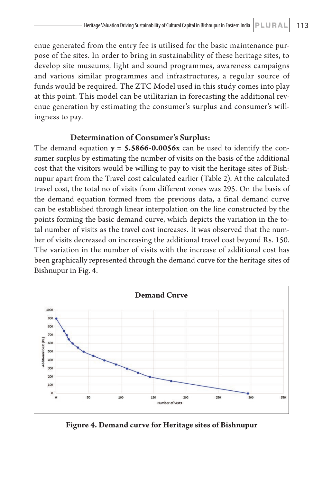enue generated from the entry fee is utilised for the basic maintenance purpose of the sites. In order to bring in sustainability of these heritage sites, to develop site museums, light and sound programmes, awareness campaigns and various similar programmes and infrastructures, a regular source of funds would be required. The ZTC Model used in this study comes into play at this point. This model can be utilitarian in forecasting the additional revenue generation by estimating the consumer's surplus and consumer's willingness to pay.

### Determination of Consumer's Surplus:

The demand equation **y = 5.5866-0.0056x** can be used to identify the consumer surplus by estimating the number of visits on the basis of the additional cost that the visitors would be willing to pay to visit the heritage sites of Bishnupur apart from the Travel cost calculated earlier (Table 2). At the calculated travel cost, the total no of visits from different zones was 295. On the basis of the demand equation formed from the previous data, a final demand curve can be established through linear interpolation on the line constructed by the points forming the basic demand curve, which depicts the variation in the total number of visits as the travel cost increases. It was observed that the number of visits decreased on increasing the additional travel cost beyond Rs. 150. The variation in the number of visits with the increase of additional cost has been graphically represented through the demand curve for the heritage sites of Bishnupur in Fig. 4.



**Figure 4. Demand curve for Heritage sites of Bishnupur**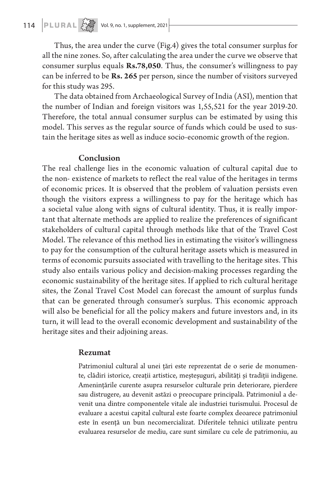Thus, the area under the curve (Fig.4) gives the total consumer surplus for all the nine zones. So, after calculating the area under the curve we observe that consumer surplus equals **Rs.78,050**. Thus, the consumer's willingness to pay can be inferred to be **Rs. 265** per person, since the number of visitors surveyed for this study was 295.

The data obtained from Archaeological Survey of India (ASI), mention that the number of Indian and foreign visitors was 1,55,521 for the year 2019-20. Therefore, the total annual consumer surplus can be estimated by using this model. This serves as the regular source of funds which could be used to sustain the heritage sites as well as induce socio-economic growth of the region.

#### Conclusion

The real challenge lies in the economic valuation of cultural capital due to the non- existence of markets to reflect the real value of the heritages in terms of economic prices. It is observed that the problem of valuation persists even though the visitors express a willingness to pay for the heritage which has a societal value along with signs of cultural identity. Thus, it is really important that alternate methods are applied to realize the preferences of significant stakeholders of cultural capital through methods like that of the Travel Cost Model. The relevance of this method lies in estimating the visitor's willingness to pay for the consumption of the cultural heritage assets which is measured in terms of economic pursuits associated with travelling to the heritage sites. This study also entails various policy and decision-making processes regarding the economic sustainability of the heritage sites. If applied to rich cultural heritage sites, the Zonal Travel Cost Model can forecast the amount of surplus funds that can be generated through consumer's surplus. This economic approach will also be beneficial for all the policy makers and future investors and, in its turn, it will lead to the overall economic development and sustainability of the heritage sites and their adjoining areas.

### Rezumat

Patrimoniul cultural al unei țări este reprezentat de o serie de monumente, clădiri istorice, creații artistice, meșteșuguri, abilități și tradiții indigene. Amenințările curente asupra resurselor culturale prin deteriorare, pierdere sau distrugere, au devenit astăzi o preocupare principală. Patrimoniul a devenit una dintre componentele vitale ale industriei turismului. Procesul de evaluare a acestui capital cultural este foarte complex deoarece patrimoniul este în esență un bun necomercializat. Diferitele tehnici utilizate pentru evaluarea resurselor de mediu, care sunt similare cu cele de patrimoniu, au